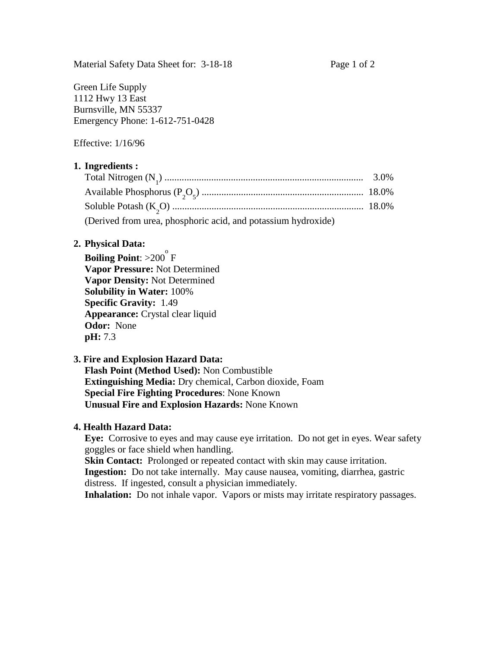Green Life Supply 1112 Hwy 13 East Burnsville, MN 55337 Emergency Phone: 1-612-751-0428

Effective: 1/16/96

### **1. Ingredients :**

| (Derived from urea, phosphoric acid, and potassium hydroxide) |  |
|---------------------------------------------------------------|--|

#### **2. Physical Data:**

**Boiling Point:** >200<sup>°</sup> F **Vapor Pressure:** Not Determined **Vapor Density:** Not Determined **Solubility in Water:** 100% **Specific Gravity:** 1.49 **Appearance:** Crystal clear liquid **Odor:** None **pH:** 7.3

#### **3. Fire and Explosion Hazard Data:**

 **Flash Point (Method Used):** Non Combustible **Extinguishing Media:** Dry chemical, Carbon dioxide, Foam **Special Fire Fighting Procedures**: None Known **Unusual Fire and Explosion Hazards:** None Known

### **4. Health Hazard Data:**

 **Eye:** Corrosive to eyes and may cause eye irritation. Do not get in eyes. Wear safety goggles or face shield when handling.

**Skin Contact:** Prolonged or repeated contact with skin may cause irritation. **Ingestion:** Do not take internally. May cause nausea, vomiting, diarrhea, gastric distress. If ingested, consult a physician immediately.

**Inhalation:** Do not inhale vapor. Vapors or mists may irritate respiratory passages.